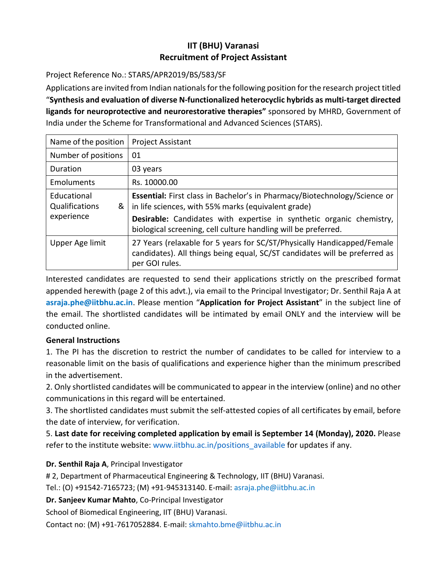# **IIT (BHU) Varanasi Recruitment of Project Assistant**

### Project Reference No.: STARS/APR2019/BS/583/SF

Applications are invited from Indian nationals for the following position for the research project titled "**Synthesis and evaluation of diverse N-functionalized heterocyclic hybrids as multi-target directed ligands for neuroprotective and neurorestorative therapies"** sponsored by MHRD, Government of India under the Scheme for Transformational and Advanced Sciences (STARS).

| Name of the position                             | <b>Project Assistant</b>                                                                                                                                                                                                                                                   |
|--------------------------------------------------|----------------------------------------------------------------------------------------------------------------------------------------------------------------------------------------------------------------------------------------------------------------------------|
| Number of positions                              | 01                                                                                                                                                                                                                                                                         |
| Duration                                         | 03 years                                                                                                                                                                                                                                                                   |
| Emoluments                                       | Rs. 10000.00                                                                                                                                                                                                                                                               |
| Educational<br>Qualifications<br>&<br>experience | Essential: First class in Bachelor's in Pharmacy/Biotechnology/Science or<br>in life sciences, with 55% marks (equivalent grade)<br>Desirable: Candidates with expertise in synthetic organic chemistry,<br>biological screening, cell culture handling will be preferred. |
| Upper Age limit                                  | 27 Years (relaxable for 5 years for SC/ST/Physically Handicapped/Female<br>candidates). All things being equal, SC/ST candidates will be preferred as<br>per GOI rules.                                                                                                    |

Interested candidates are requested to send their applications strictly on the prescribed format appended herewith (page 2 of this advt.), via email to the Principal Investigator; Dr. Senthil Raja A at **asraja.phe@iitbhu.ac.in**. Please mention "**Application for Project Assistant**" in the subject line of the email. The shortlisted candidates will be intimated by email ONLY and the interview will be conducted online.

#### **General Instructions**

1. The PI has the discretion to restrict the number of candidates to be called for interview to a reasonable limit on the basis of qualifications and experience higher than the minimum prescribed in the advertisement.

2. Only shortlisted candidates will be communicated to appear in the interview (online) and no other communications in this regard will be entertained.

3. The shortlisted candidates must submit the self-attested copies of all certificates by email, before the date of interview, for verification.

5. **Last date for receiving completed application by email is September 14 (Monday), 2020.** Please refer to the institute website: www.iitbhu.ac.in/positions\_available for updates if any.

## **Dr. Senthil Raja A**, Principal Investigator

# 2, Department of Pharmaceutical Engineering & Technology, IIT (BHU) Varanasi.

Tel.: (O) +91542-7165723; (M) +91-945313140. E-mail: asraja.phe@iitbhu.ac.in

**Dr. Sanjeev Kumar Mahto**, Co-Principal Investigator

School of Biomedical Engineering, IIT (BHU) Varanasi.

Contact no: (M) +91-7617052884. E-mail: skmahto.bme@iitbhu.ac.in